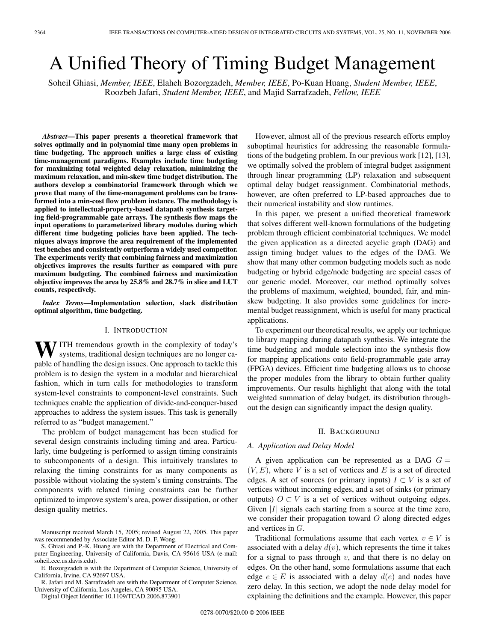# A Unified Theory of Timing Budget Management

Soheil Ghiasi, *Member, IEEE*, Elaheh Bozorgzadeh, *Member, IEEE*, Po-Kuan Huang, *Student Member, IEEE*, Roozbeh Jafari, *Student Member, IEEE*, and Majid Sarrafzadeh, *Fellow, IEEE*

*Abstract***—This paper presents a theoretical framework that solves optimally and in polynomial time many open problems in time budgeting. The approach unifies a large class of existing time-management paradigms. Examples include time budgeting for maximizing total weighted delay relaxation, minimizing the maximum relaxation, and min-skew time budget distribution. The authors develop a combinatorial framework through which we prove that many of the time-management problems can be transformed into a min-cost flow problem instance. The methodology is applied to intellectual-property-based datapath synthesis targeting field-programmable gate arrays. The synthesis flow maps the input operations to parameterized library modules during which different time budgeting policies have been applied. The techniques always improve the area requirement of the implemented test benches and consistently outperform a widely used competitor. The experiments verify that combining fairness and maximization objectives improves the results further as compared with pure maximum budgeting. The combined fairness and maximization objective improves the area by 25.8% and 28.7% in slice and LUT counts, respectively.**

*Index Terms***—Implementation selection, slack distribution optimal algorithm, time budgeting.**

## I. INTRODUCTION

**W**ITH tremendous growth in the complexity of today's systems, traditional design techniques are no longer capable of handling the design issues. One approach to tackle this problem is to design the system in a modular and hierarchical fashion, which in turn calls for methodologies to transform system-level constraints to component-level constraints. Such techniques enable the application of divide-and-conquer-based approaches to address the system issues. This task is generally referred to as "budget management."

The problem of budget management has been studied for several design constraints including timing and area. Particularly, time budgeting is performed to assign timing constraints to subcomponents of a design. This intuitively translates to relaxing the timing constraints for as many components as possible without violating the system's timing constraints. The components with relaxed timing constraints can be further optimized to improve system's area, power dissipation, or other design quality metrics.

R. Jafari and M. Sarrafzadeh are with the Department of Computer Science, University of California, Los Angeles, CA 90095 USA.

Digital Object Identifier 10.1109/TCAD.2006.873901

However, almost all of the previous research efforts employ suboptimal heuristics for addressing the reasonable formulations of the budgeting problem. In our previous work [12], [13], we optimally solved the problem of integral budget assignment through linear programming (LP) relaxation and subsequent optimal delay budget reassignment. Combinatorial methods, however, are often preferred to LP-based approaches due to their numerical instability and slow runtimes.

In this paper, we present a unified theoretical framework that solves different well-known formulations of the budgeting problem through efficient combinatorial techniques. We model the given application as a directed acyclic graph (DAG) and assign timing budget values to the edges of the DAG. We show that many other common budgeting models such as node budgeting or hybrid edge/node budgeting are special cases of our generic model. Moreover, our method optimally solves the problems of maximum, weighted, bounded, fair, and minskew budgeting. It also provides some guidelines for incremental budget reassignment, which is useful for many practical applications.

To experiment our theoretical results, we apply our technique to library mapping during datapath synthesis. We integrate the time budgeting and module selection into the synthesis flow for mapping applications onto field-programmable gate array (FPGA) devices. Efficient time budgeting allows us to choose the proper modules from the library to obtain further quality improvements. Our results highlight that along with the total weighted summation of delay budget, its distribution throughout the design can significantly impact the design quality.

#### II. BACKGROUND

## *A. Application and Delay Model*

A given application can be represented as a DAG  $G =$  $(V, E)$ , where V is a set of vertices and E is a set of directed edges. A set of sources (or primary inputs)  $I \subset V$  is a set of vertices without incoming edges, and a set of sinks (or primary outputs)  $O \subset V$  is a set of vertices without outgoing edges. Given  $|I|$  signals each starting from a source at the time zero, we consider their propagation toward  $O$  along directed edges and vertices in G.

Traditional formulations assume that each vertex  $v \in V$  is associated with a delay  $d(v)$ , which represents the time it takes for a signal to pass through  $v$ , and that there is no delay on edges. On the other hand, some formulations assume that each edge  $e \in E$  is associated with a delay  $d(e)$  and nodes have zero delay. In this section, we adopt the node delay model for explaining the definitions and the example. However, this paper

Manuscript received March 15, 2005; revised August 22, 2005. This paper was recommended by Associate Editor M. D. F. Wong.

S. Ghiasi and P.-K. Huang are with the Department of Electrical and Computer Engineering, University of California, Davis, CA 95616 USA (e-mail: soheil.ece.us.davis.edu).

E. Bozorgzadeh is with the Department of Computer Science, University of California, Irvine, CA 92697 USA.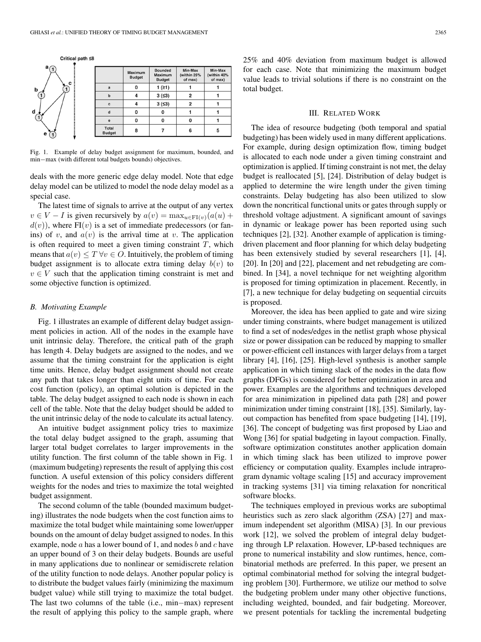Critical path <

| Uniucai paul 20 |                        |                          |                                            |                                   |                                   |
|-----------------|------------------------|--------------------------|--------------------------------------------|-----------------------------------|-----------------------------------|
| a/<br>c         |                        | Maximum<br><b>Budget</b> | <b>Bounded</b><br>Maximum<br><b>Budget</b> | Min-Max<br>(within 25%<br>of max) | Min-Max<br>(within 40%<br>of max) |
| b               | a                      | 0                        | 1(≥1)                                      |                                   |                                   |
|                 | b                      |                          | 3(53)                                      | 2                                 |                                   |
|                 | $\mathbf{c}$           |                          | 3(53)                                      | 2                                 |                                   |
| d               | d                      | $\Omega$                 | $\Omega$                                   |                                   |                                   |
|                 | $\mathbf{e}$           | $\Omega$                 | $\Omega$                                   | o                                 |                                   |
| е               | Total<br><b>Budget</b> | 8                        |                                            | 6                                 | 5                                 |

Fig. 1. Example of delay budget assignment for maximum, bounded, and min−max (with different total budgets bounds) objectives.

deals with the more generic edge delay model. Note that edge delay model can be utilized to model the node delay model as a special case.

The latest time of signals to arrive at the output of any vertex  $v \in V - I$  is given recursively by  $a(v) = \max_{u \in \text{FI}(v)} (a(u) +$  $d(v)$ ), where FI(v) is a set of immediate predecessors (or fanins) of v, and  $a(v)$  is the arrival time at v. The application is often required to meet a given timing constraint  $T$ , which means that  $a(v) \leq T \forall v \in O$ . Intuitively, the problem of timing budget assignment is to allocate extra timing delay  $b(v)$  to  $v \in V$  such that the application timing constraint is met and some objective function is optimized.

#### *B. Motivating Example*

Fig. 1 illustrates an example of different delay budget assignment policies in action. All of the nodes in the example have unit intrinsic delay. Therefore, the critical path of the graph has length 4. Delay budgets are assigned to the nodes, and we assume that the timing constraint for the application is eight time units. Hence, delay budget assignment should not create any path that takes longer than eight units of time. For each cost function (policy), an optimal solution is depicted in the table. The delay budget assigned to each node is shown in each cell of the table. Note that the delay budget should be added to the unit intrinsic delay of the node to calculate its actual latency.

An intuitive budget assignment policy tries to maximize the total delay budget assigned to the graph, assuming that larger total budget correlates to larger improvements in the utility function. The first column of the table shown in Fig. 1 (maximum budgeting) represents the result of applying this cost function. A useful extension of this policy considers different weights for the nodes and tries to maximize the total weighted budget assignment.

The second column of the table (bounded maximum budgeting) illustrates the node budgets when the cost function aims to maximize the total budget while maintaining some lower/upper bounds on the amount of delay budget assigned to nodes. In this example, node  $a$  has a lower bound of 1, and nodes  $b$  and  $c$  have an upper bound of 3 on their delay budgets. Bounds are useful in many applications due to nonlinear or semidiscrete relation of the utility function to node delays. Another popular policy is to distribute the budget values fairly (minimizing the maximum budget value) while still trying to maximize the total budget. The last two columns of the table (i.e., min−max) represent the result of applying this policy to the sample graph, where 25% and 40% deviation from maximum budget is allowed for each case. Note that minimizing the maximum budget value leads to trivial solutions if there is no constraint on the total budget.

#### III. RELATED WORK

The idea of resource budgeting (both temporal and spatial budgeting) has been widely used in many different applications. For example, during design optimization flow, timing budget is allocated to each node under a given timing constraint and optimization is applied. If timing constraint is not met, the delay budget is reallocated [5], [24]. Distribution of delay budget is applied to determine the wire length under the given timing constraints. Delay budgeting has also been utilized to slow down the noncritical functional units or gates through supply or threshold voltage adjustment. A significant amount of savings in dynamic or leakage power has been reported using such techniques [2], [32]. Another example of application is timingdriven placement and floor planning for which delay budgeting has been extensively studied by several researchers [1], [4], [20]. In [20] and [22], placement and net rebudgeting are combined. In [34], a novel technique for net weighting algorithm is proposed for timing optimization in placement. Recently, in [7], a new technique for delay budgeting on sequential circuits is proposed.

Moreover, the idea has been applied to gate and wire sizing under timing constraints, where budget management is utilized to find a set of nodes/edges in the netlist graph whose physical size or power dissipation can be reduced by mapping to smaller or power-efficient cell instances with larger delays from a target library [4], [16], [25]. High-level synthesis is another sample application in which timing slack of the nodes in the data flow graphs (DFGs) is considered for better optimization in area and power. Examples are the algorithms and techniques developed for area minimization in pipelined data path [28] and power minimization under timing constraint [18], [35]. Similarly, layout compaction has benefited from space budgeting [14], [19], [36]. The concept of budgeting was first proposed by Liao and Wong [36] for spatial budgeting in layout compaction. Finally, software optimization constitutes another application domain in which timing slack has been utilized to improve power efficiency or computation quality. Examples include intraprogram dynamic voltage scaling [15] and accuracy improvement in tracking systems [31] via timing relaxation for noncritical software blocks.

The techniques employed in previous works are suboptimal heuristics such as zero slack algorithm (ZSA) [27] and maximum independent set algorithm (MISA) [3]. In our previous work [12], we solved the problem of integral delay budgeting through LP relaxation. However, LP-based techniques are prone to numerical instability and slow runtimes, hence, combinatorial methods are preferred. In this paper, we present an optimal combinatorial method for solving the integral budgeting problem [30]. Furthermore, we utilize our method to solve the budgeting problem under many other objective functions, including weighted, bounded, and fair budgeting. Moreover, we present potentials for tackling the incremental budgeting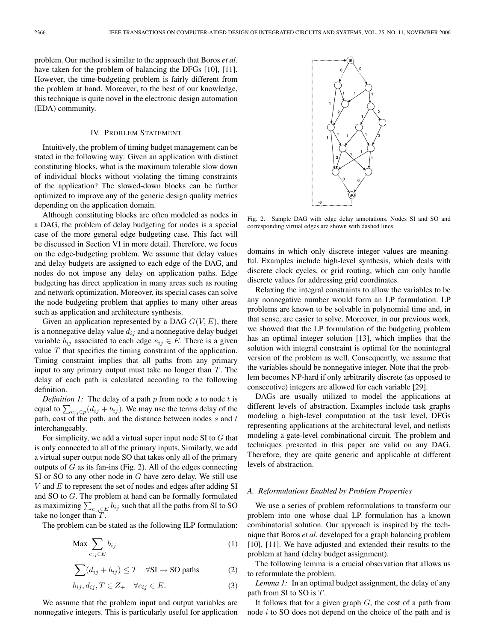problem. Our method is similar to the approach that Boros *et al.* have taken for the problem of balancing the DFGs [10], [11]. However, the time-budgeting problem is fairly different from the problem at hand. Moreover, to the best of our knowledge, this technique is quite novel in the electronic design automation (EDA) community.

# IV. PROBLEM STATEMENT

Intuitively, the problem of timing budget management can be stated in the following way: Given an application with distinct constituting blocks, what is the maximum tolerable slow down of individual blocks without violating the timing constraints of the application? The slowed-down blocks can be further optimized to improve any of the generic design quality metrics depending on the application domain.

Although constituting blocks are often modeled as nodes in a DAG, the problem of delay budgeting for nodes is a special case of the more general edge budgeting case. This fact will be discussed in Section VI in more detail. Therefore, we focus on the edge-budgeting problem. We assume that delay values and delay budgets are assigned to each edge of the DAG, and nodes do not impose any delay on application paths. Edge budgeting has direct application in many areas such as routing and network optimization. Moreover, its special cases can solve the node budgeting problem that applies to many other areas such as application and architecture synthesis.

Given an application represented by a DAG  $G(V, E)$ , there is a nonnegative delay value  $d_{ij}$  and a nonnegative delay budget variable  $b_{ij}$  associated to each edge  $e_{ij} \in E$ . There is a given value T that specifies the timing constraint of the application. Timing constraint implies that all paths from any primary input to any primary output must take no longer than T. The delay of each path is calculated according to the following definition.

*Definition 1:* The delay of a path  $p$  from node  $s$  to node  $t$  is equal to  $\sum_{e_{ij}\in p}(d_{ij}+b_{ij})$ . We may use the terms delay of the path, cost of the path, and the distance between nodes  $s$  and  $t$ interchangeably.

For simplicity, we add a virtual super input node SI to  $G$  that is only connected to all of the primary inputs. Similarly, we add a virtual super output node SO that takes only all of the primary outputs of  $G$  as its fan-ins (Fig. 2). All of the edges connecting SI or SO to any other node in  $G$  have zero delay. We still use  $V$  and  $E$  to represent the set of nodes and edges after adding SI and SO to G. The problem at hand can be formally formulated as maximizing  $\sum_{e_{ij} \in E} b_{ij}$  such that all the paths from SI to SO take no longer than  $T$ .

The problem can be stated as the following ILP formulation:

$$
\text{Max} \sum_{e_{ij} \in E} b_{ij} \tag{1}
$$

$$
\sum (d_{ij} + b_{ij}) \le T \quad \forall SI \to SO \text{ paths} \tag{2}
$$

$$
b_{ij}, d_{ij}, T \in Z_+ \quad \forall e_{ij} \in E. \tag{3}
$$

We assume that the problem input and output variables are nonnegative integers. This is particularly useful for application



Fig. 2. Sample DAG with edge delay annotations. Nodes SI and SO and corresponding virtual edges are shown with dashed lines.

domains in which only discrete integer values are meaningful. Examples include high-level synthesis, which deals with discrete clock cycles, or grid routing, which can only handle discrete values for addressing grid coordinates.

Relaxing the integral constraints to allow the variables to be any nonnegative number would form an LP formulation. LP problems are known to be solvable in polynomial time and, in that sense, are easier to solve. Moreover, in our previous work, we showed that the LP formulation of the budgeting problem has an optimal integer solution [13], which implies that the solution with integral constraint is optimal for the nonintegral version of the problem as well. Consequently, we assume that the variables should be nonnegative integer. Note that the problem becomes NP-hard if only arbitrarily discrete (as opposed to consecutive) integers are allowed for each variable [29].

DAGs are usually utilized to model the applications at different levels of abstraction. Examples include task graphs modeling a high-level computation at the task level, DFGs representing applications at the architectural level, and netlists modeling a gate-level combinational circuit. The problem and techniques presented in this paper are valid on any DAG. Therefore, they are quite generic and applicable at different levels of abstraction.

#### *A. Reformulations Enabled by Problem Properties*

We use a series of problem reformulations to transform our problem into one whose dual LP formulation has a known combinatorial solution. Our approach is inspired by the technique that Boros *et al.* developed for a graph balancing problem [10], [11]. We have adjusted and extended their results to the problem at hand (delay budget assignment).

The following lemma is a crucial observation that allows us to reformulate the problem.

*Lemma 1:* In an optimal budget assignment, the delay of any path from SI to SO is T.

It follows that for a given graph  $G$ , the cost of a path from node i to SO does not depend on the choice of the path and is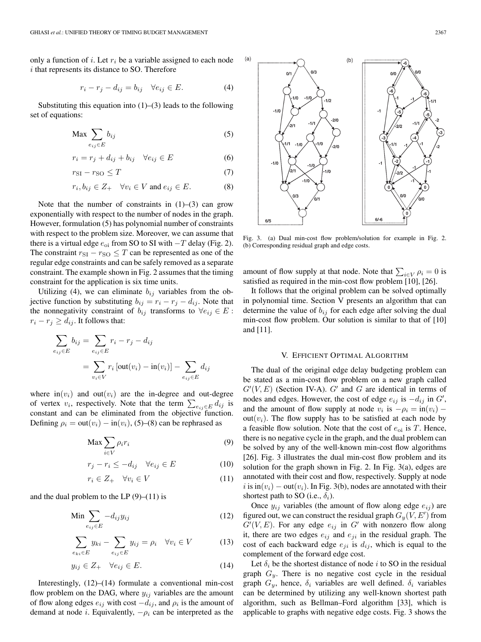only a function of i. Let  $r_i$  be a variable assigned to each node i that represents its distance to SO. Therefore

$$
r_i - r_j - d_{ij} = b_{ij} \quad \forall e_{ij} \in E. \tag{4}
$$

Substituting this equation into  $(1)$ – $(3)$  leads to the following set of equations:

$$
\text{Max} \sum_{e_{ij} \in E} b_{ij} \tag{5}
$$

$$
r_i = r_j + d_{ij} + b_{ij} \quad \forall e_{ij} \in E \tag{6}
$$

$$
r_{\rm SI} - r_{\rm SO} \le T \tag{7}
$$

$$
r_i, b_{ij} \in Z_+ \quad \forall v_i \in V \text{ and } e_{ij} \in E. \tag{8}
$$

Note that the number of constraints in  $(1)$ – $(3)$  can grow exponentially with respect to the number of nodes in the graph. However, formulation (5) has polynomial number of constraints with respect to the problem size. Moreover, we can assume that there is a virtual edge  $e_{0i}$  from SO to SI with  $-T$  delay (Fig. 2). The constraint  $r_{\text{SI}} - r_{\text{SO}} \leq T$  can be represented as one of the regular edge constraints and can be safely removed as a separate constraint. The example shown in Fig. 2 assumes that the timing constraint for the application is six time units.

Utilizing (4), we can eliminate  $b_{ij}$  variables from the objective function by substituting  $b_{ij} = r_i - r_j - d_{ij}$ . Note that the nonnegativity constraint of  $b_{ij}$  transforms to  $\forall e_{ij} \in E$ :  $r_i - r_j \ge d_{ij}$ . It follows that:

$$
\sum_{e_{ij} \in E} b_{ij} = \sum_{e_{ij} \in E} r_i - r_j - d_{ij}
$$

$$
= \sum_{v_i \in V} r_i \left[ \text{out}(v_i) - \text{in}(v_i) \right] - \sum_{e_{ij} \in E} d_{ij}
$$

where  $in(v_i)$  and  $out(v_i)$  are the in-degree and out-degree of vertex  $v_i$ , respectively. Note that the term  $\sum_{e_{ij}\in E} d_{ij}$  is constant and can be eliminated from the objective function. Defining  $\rho_i = \text{out}(v_i) - \text{in}(v_i)$ , (5)–(8) can be rephrased as

$$
\operatorname{Max} \sum_{i \in V} \rho_i r_i \tag{9}
$$

$$
r_j - r_i \le -d_{ij} \quad \forall e_{ij} \in E \tag{10}
$$

$$
r_i \in Z_+ \quad \forall v_i \in V \tag{11}
$$

and the dual problem to the LP  $(9)$ – $(11)$  is

$$
\text{Min} \sum_{e_{ij} \in E} -d_{ij} y_{ij} \tag{12}
$$

$$
\sum_{e_{ki}\in E} y_{ki} - \sum_{e_{ij}\in E} y_{ij} = \rho_i \quad \forall v_i \in V \tag{13}
$$

$$
y_{ij} \in Z_+ \quad \forall e_{ij} \in E. \tag{14}
$$

Interestingly, (12)–(14) formulate a conventional min-cost flow problem on the DAG, where  $y_{ij}$  variables are the amount of flow along edges  $e_{ij}$  with cost  $-d_{ij}$ , and  $\rho_i$  is the amount of demand at node *i*. Equivalently,  $-\rho_i$  can be interpreted as the



Fig. 3. (a) Dual min-cost flow problem/solution for example in Fig. 2. (b) Corresponding residual graph and edge costs.

amount of flow supply at that node. Note that  $\sum_{i \in V} \rho_i = 0$  is satisfied as required in the min-cost flow problem [10], [26].

It follows that the original problem can be solved optimally in polynomial time. Section V presents an algorithm that can determine the value of  $b_{ij}$  for each edge after solving the dual min-cost flow problem. Our solution is similar to that of [10] and [11].

### V. EFFICIENT OPTIMAL ALGORITHM

The dual of the original edge delay budgeting problem can be stated as a min-cost flow problem on a new graph called  $G'(V, E)$  (Section IV-A).  $G'$  and G are identical in terms of nodes and edges. However, the cost of edge  $e_{ij}$  is  $-d_{ij}$  in  $G'$ , and the amount of flow supply at node  $v_i$  is  $-\rho_i = \text{in}(v_i)$  –  $out(v_i)$ . The flow supply has to be satisfied at each node by a feasible flow solution. Note that the cost of  $e_{oi}$  is T. Hence, there is no negative cycle in the graph, and the dual problem can be solved by any of the well-known min-cost flow algorithms [26]. Fig. 3 illustrates the dual min-cost flow problem and its solution for the graph shown in Fig. 2. In Fig. 3(a), edges are annotated with their cost and flow, respectively. Supply at node i is in( $v_i$ ) – out( $v_i$ ). In Fig. 3(b), nodes are annotated with their shortest path to SO (i.e.,  $\delta_i$ ).

Once  $y_{ij}$  variables (the amount of flow along edge  $e_{ij}$ ) are figured out, we can construct the residual graph  $G_y(V, E')$  from  $G'(V, E)$ . For any edge  $e_{ij}$  in  $G'$  with nonzero flow along it, there are two edges  $e_{ij}$  and  $e_{ji}$  in the residual graph. The cost of each backward edge  $e_{ji}$  is  $d_{ij}$ , which is equal to the complement of the forward edge cost.

Let  $\delta_i$  be the shortest distance of node i to SO in the residual graph  $G_y$ . There is no negative cost cycle in the residual graph  $G_y$ , hence,  $\delta_i$  variables are well defined.  $\delta_i$  variables can be determined by utilizing any well-known shortest path algorithm, such as Bellman–Ford algorithm [33], which is applicable to graphs with negative edge costs. Fig. 3 shows the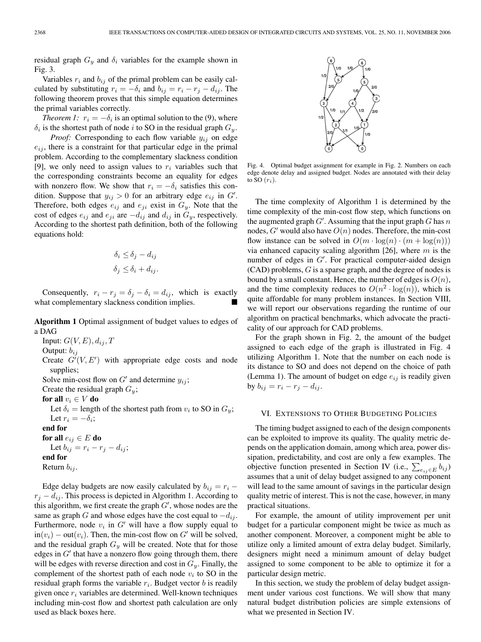residual graph  $G_y$  and  $\delta_i$  variables for the example shown in Fig. 3.

Variables  $r_i$  and  $b_{ij}$  of the primal problem can be easily calculated by substituting  $r_i = -\delta_i$  and  $b_{ij} = r_i - r_j - d_{ij}$ . The following theorem proves that this simple equation determines the primal variables correctly.

*Theorem 1:*  $r_i = -\delta_i$  is an optimal solution to the (9), where  $\delta_i$  is the shortest path of node i to SO in the residual graph  $G_u$ .

*Proof:* Corresponding to each flow variable  $y_{ij}$  on edge  $e_{ij}$ , there is a constraint for that particular edge in the primal problem. According to the complementary slackness condition [9], we only need to assign values to  $r_i$  variables such that the corresponding constraints become an equality for edges with nonzero flow. We show that  $r_i = -\delta_i$  satisfies this condition. Suppose that  $y_{ij} > 0$  for an arbitrary edge  $e_{ij}$  in  $G'$ . Therefore, both edges  $e_{ij}$  and  $e_{ji}$  exist in  $G_y$ . Note that the cost of edges  $e_{ij}$  and  $e_{ji}$  are  $-d_{ij}$  and  $d_{ij}$  in  $G_y$ , respectively. According to the shortest path definition, both of the following equations hold:

$$
\delta_i \le \delta_j - d_{ij}
$$
  

$$
\delta_j \le \delta_i + d_{ij}.
$$

Consequently,  $r_i - r_j = \delta_i - \delta_i = d_{ij}$ , which is exactly what complementary slackness condition implies.

**Algorithm 1** Optimal assignment of budget values to edges of a DAG

Input:  $G(V, E), d_{ij}, T$ Output:  $b_{ij}$ Create  $G'(V, E')$  with appropriate edge costs and node supplies; Solve min-cost flow on  $G'$  and determine  $y_{ij}$ ; Create the residual graph  $G_y$ ; **for all**  $v_i \in V$  **do** Let  $\delta_i$  = length of the shortest path from  $v_i$  to SO in  $G_y$ ;

Let  $r_i = -\delta_i$ ; **end for**

**for all**  $e_{ij} \in E$  **do** Let  $b_{ij} = r_i - r_j - d_{ij}$ ; **end for** Return  $b_{ij}$ .

Edge delay budgets are now easily calculated by  $b_{ij} = r_i$  $r_j - d_{ij}$ . This process is depicted in Algorithm 1. According to this algorithm, we first create the graph  $G'$ , whose nodes are the same as graph G and whose edges have the cost equal to  $-d_{ij}$ . Furthermore, node  $v_i$  in  $G'$  will have a flow supply equal to  $\text{in}(v_i) - \text{out}(v_i)$ . Then, the min-cost flow on G' will be solved, and the residual graph  $G_y$  will be created. Note that for those edges in  $G'$  that have a nonzero flow going through them, there will be edges with reverse direction and cost in  $G_y$ . Finally, the complement of the shortest path of each node  $v_i$  to SO in the residual graph forms the variable  $r_i$ . Budget vector  $b$  is readily given once  $r_i$  variables are determined. Well-known techniques including min-cost flow and shortest path calculation are only used as black boxes here.



Fig. 4. Optimal budget assignment for example in Fig. 2. Numbers on each edge denote delay and assigned budget. Nodes are annotated with their delay to SO  $(r_i)$ .

The time complexity of Algorithm 1 is determined by the time complexity of the min-cost flow step, which functions on the augmented graph  $G'$ . Assuming that the input graph G has n nodes,  $G'$  would also have  $O(n)$  nodes. Therefore, the min-cost flow instance can be solved in  $O(m \cdot \log(n) \cdot (m + \log(n)))$ via enhanced capacity scaling algorithm [26], where  $m$  is the number of edges in  $G'$ . For practical computer-aided design (CAD) problems, G is a sparse graph, and the degree of nodes is bound by a small constant. Hence, the number of edges is  $O(n)$ , and the time complexity reduces to  $O(n^2 \cdot \log(n))$ , which is quite affordable for many problem instances. In Section VIII, we will report our observations regarding the runtime of our algorithm on practical benchmarks, which advocate the practicality of our approach for CAD problems.

For the graph shown in Fig. 2, the amount of the budget assigned to each edge of the graph is illustrated in Fig. 4 utilizing Algorithm 1. Note that the number on each node is its distance to SO and does not depend on the choice of path (Lemma 1). The amount of budget on edge  $e_{ij}$  is readily given by  $b_{ij} = r_i - r_j - d_{ij}$ .

#### VI. EXTENSIONS TO OTHER BUDGETING POLICIES

The timing budget assigned to each of the design components can be exploited to improve its quality. The quality metric depends on the application domain, among which area, power dissipation, predictability, and cost are only a few examples. The objective function presented in Section IV (i.e.,  $\sum_{e_{ij}\in E} b_{ij}$ ) assumes that a unit of delay budget assigned to any component will lead to the same amount of savings in the particular design quality metric of interest. This is not the case, however, in many practical situations.

For example, the amount of utility improvement per unit budget for a particular component might be twice as much as another component. Moreover, a component might be able to utilize only a limited amount of extra delay budget. Similarly, designers might need a minimum amount of delay budget assigned to some component to be able to optimize it for a particular design metric.

In this section, we study the problem of delay budget assignment under various cost functions. We will show that many natural budget distribution policies are simple extensions of what we presented in Section IV.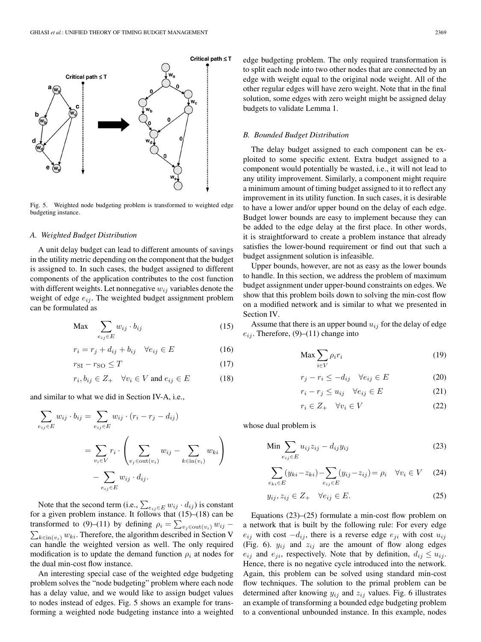

Fig. 5. Weighted node budgeting problem is transformed to weighted edge budgeting instance.

## *A. Weighted Budget Distribution*

A unit delay budget can lead to different amounts of savings in the utility metric depending on the component that the budget is assigned to. In such cases, the budget assigned to different components of the application contributes to the cost function with different weights. Let nonnegative  $w_{ij}$  variables denote the weight of edge  $e_{ij}$ . The weighted budget assignment problem can be formulated as

$$
\text{Max} \quad \sum_{e_{ij} \in E} w_{ij} \cdot b_{ij} \tag{15}
$$

$$
r_i = r_j + d_{ij} + b_{ij} \quad \forall e_{ij} \in E \tag{16}
$$

$$
r_{\rm SI} - r_{\rm SO} \le T \tag{17}
$$

$$
r_i, b_{ij} \in Z_+ \quad \forall v_i \in V \text{ and } e_{ij} \in E \tag{18}
$$

and similar to what we did in Section IV-A, i.e.,

$$
\sum_{e_{ij} \in E} w_{ij} \cdot b_{ij} = \sum_{e_{ij} \in E} w_{ij} \cdot (r_i - r_j - d_{ij})
$$

$$
= \sum_{v_i \in V} r_i \cdot \left(\sum_{v_j \in \text{out}(v_i)} w_{ij} - \sum_{k \in \text{in}(v_i)} w_{ki}\right)
$$

$$
- \sum_{e_{ij} \in E} w_{ij} \cdot d_{ij}.
$$

Note that the second term (i.e.,  $\sum_{e_{ij}\in E} w_{ij} \cdot d_{ij}$ ) is constant for a given problem instance. It follows that (15)–(18) can be transformed to (9)–(11) by defining  $\rho_i = \sum_{v_j \in \text{out}(v_i)} w_{ij} - \sum_{k \in \text{in}(v_i)} w_{ki}$ . Therefore, the algorithm described in Section V  $\sum_{k \in \text{in}(v_i)} w_{ki}$ . Therefore, the algorithm described in Section V can handle the weighted version as well. The only required modification is to update the demand function  $\rho_i$  at nodes for the dual min-cost flow instance.

An interesting special case of the weighted edge budgeting problem solves the "node budgeting" problem where each node has a delay value, and we would like to assign budget values to nodes instead of edges. Fig. 5 shows an example for transforming a weighted node budgeting instance into a weighted edge budgeting problem. The only required transformation is to split each node into two other nodes that are connected by an edge with weight equal to the original node weight. All of the other regular edges will have zero weight. Note that in the final solution, some edges with zero weight might be assigned delay budgets to validate Lemma 1.

#### *B. Bounded Budget Distribution*

The delay budget assigned to each component can be exploited to some specific extent. Extra budget assigned to a component would potentially be wasted, i.e., it will not lead to any utility improvement. Similarly, a component might require a minimum amount of timing budget assigned to it to reflect any improvement in its utility function. In such cases, it is desirable to have a lower and/or upper bound on the delay of each edge. Budget lower bounds are easy to implement because they can be added to the edge delay at the first place. In other words, it is straightforward to create a problem instance that already satisfies the lower-bound requirement or find out that such a budget assignment solution is infeasible.

Upper bounds, however, are not as easy as the lower bounds to handle. In this section, we address the problem of maximum budget assignment under upper-bound constraints on edges. We show that this problem boils down to solving the min-cost flow on a modified network and is similar to what we presented in Section IV.

Assume that there is an upper bound  $u_{ij}$  for the delay of edge  $e_{ij}$ . Therefore, (9)–(11) change into

$$
\text{Max} \sum_{i \in V} \rho_i r_i \tag{19}
$$

$$
r_j - r_i \le -d_{ij} \quad \forall e_{ij} \in E \tag{20}
$$

$$
r_i - r_j \le u_{ij} \quad \forall e_{ij} \in E \tag{21}
$$

$$
r_i \in Z_+ \quad \forall v_i \in V \tag{22}
$$

whose dual problem is

$$
\text{Min} \sum_{e_{ij} \in E} u_{ij} z_{ij} - d_{ij} y_{ij} \tag{23}
$$

$$
\sum_{e_{ki}\in E}(y_{ki}-z_{ki})-\sum_{e_{ij}\in E}(y_{ij}-z_{ij})=\rho_i \quad \forall v_i\in V \quad (24)
$$

$$
y_{ij}, z_{ij} \in Z_+ \quad \forall e_{ij} \in E. \tag{25}
$$

Equations (23)–(25) formulate a min-cost flow problem on a network that is built by the following rule: For every edge  $e_{ij}$  with cost  $-d_{ij}$ , there is a reverse edge  $e_{ji}$  with cost  $u_{ij}$ (Fig. 6).  $y_{ij}$  and  $z_{ij}$  are the amount of flow along edges  $e_{ij}$  and  $e_{ji}$ , respectively. Note that by definition,  $d_{ij} \leq u_{ij}$ . Hence, there is no negative cycle introduced into the network. Again, this problem can be solved using standard min-cost flow techniques. The solution to the primal problem can be determined after knowing  $y_{ij}$  and  $z_{ij}$  values. Fig. 6 illustrates an example of transforming a bounded edge budgeting problem to a conventional unbounded instance. In this example, nodes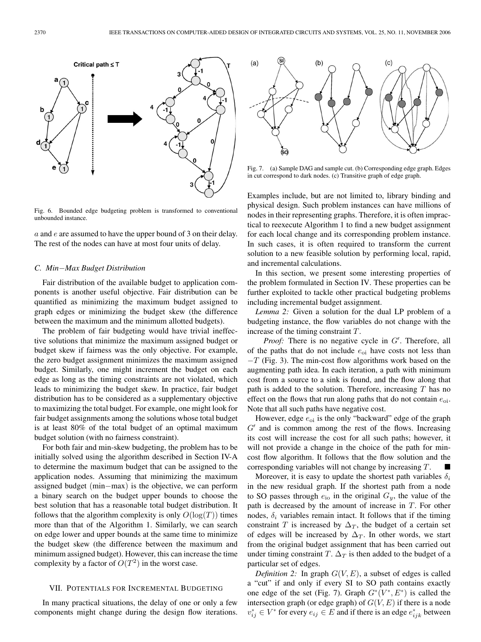Fig. 6. Bounded edge budgeting problem is transformed to conventional unbounded instance.

a and e are assumed to have the upper bound of 3 on their delay. The rest of the nodes can have at most four units of delay.

# *C. Min*−*Max Budget Distribution*

Critical path  $\leq$  T

Fair distribution of the available budget to application components is another useful objective. Fair distribution can be quantified as minimizing the maximum budget assigned to graph edges or minimizing the budget skew (the difference between the maximum and the minimum allotted budgets).

The problem of fair budgeting would have trivial ineffective solutions that minimize the maximum assigned budget or budget skew if fairness was the only objective. For example, the zero budget assignment minimizes the maximum assigned budget. Similarly, one might increment the budget on each edge as long as the timing constraints are not violated, which leads to minimizing the budget skew. In practice, fair budget distribution has to be considered as a supplementary objective to maximizing the total budget. For example, one might look for fair budget assignments among the solutions whose total budget is at least 80% of the total budget of an optimal maximum budget solution (with no fairness constraint).

For both fair and min-skew budgeting, the problem has to be initially solved using the algorithm described in Section IV-A to determine the maximum budget that can be assigned to the application nodes. Assuming that minimizing the maximum assigned budget (min−max) is the objective, we can perform a binary search on the budget upper bounds to choose the best solution that has a reasonable total budget distribution. It follows that the algorithm complexity is only  $O(log(T))$  times more than that of the Algorithm 1. Similarly, we can search on edge lower and upper bounds at the same time to minimize the budget skew (the difference between the maximum and minimum assigned budget). However, this can increase the time complexity by a factor of  $O(T^2)$  in the worst case.

# VII. POTENTIALS FOR INCREMENTAL BUDGETING

In many practical situations, the delay of one or only a few components might change during the design flow iterations.



Fig. 7. (a) Sample DAG and sample cut. (b) Corresponding edge graph. Edges in cut correspond to dark nodes. (c) Transitive graph of edge graph.

Examples include, but are not limited to, library binding and physical design. Such problem instances can have millions of nodes in their representing graphs. Therefore, it is often impractical to reexecute Algorithm 1 to find a new budget assignment for each local change and its corresponding problem instance. In such cases, it is often required to transform the current solution to a new feasible solution by performing local, rapid, and incremental calculations.

In this section, we present some interesting properties of the problem formulated in Section IV. These properties can be further exploited to tackle other practical budgeting problems including incremental budget assignment.

*Lemma 2:* Given a solution for the dual LP problem of a budgeting instance, the flow variables do not change with the increase of the timing constraint T.

*Proof:* There is no negative cycle in G'. Therefore, all of the paths that do not include  $e_{oi}$  have costs not less than  $-T$  (Fig. 3). The min-cost flow algorithms work based on the augmenting path idea. In each iteration, a path with minimum cost from a source to a sink is found, and the flow along that path is added to the solution. Therefore, increasing  $T$  has no effect on the flows that run along paths that do not contain  $e_{oi}$ . Note that all such paths have negative cost.

However, edge  $e_{oi}$  is the only "backward" edge of the graph  $G'$  and is common among the rest of the flows. Increasing its cost will increase the cost for all such paths; however, it will not provide a change in the choice of the path for mincost flow algorithm. It follows that the flow solution and the corresponding variables will not change by increasing  $T$ .

Moreover, it is easy to update the shortest path variables  $\delta_i$ in the new residual graph. If the shortest path from a node to SO passes through  $e_{i\text{o}}$  in the original  $G_y$ , the value of the path is decreased by the amount of increase in  $T$ . For other nodes,  $\delta_i$  variables remain intact. It follows that if the timing constraint T is increased by  $\Delta_T$ , the budget of a certain set of edges will be increased by  $\Delta_T$ . In other words, we start from the original budget assignment that has been carried out under timing constraint T.  $\Delta_T$  is then added to the budget of a particular set of edges.

*Definition 2:* In graph  $G(V, E)$ , a subset of edges is called a "cut" if and only if every SI to SO path contains exactly one edge of the set (Fig. 7). Graph  $G^*(V^*, E^*)$  is called the intersection graph (or edge graph) of  $G(V, E)$  if there is a node  $v_{ij}^* \in V^*$  for every  $e_{ij} \in E$  and if there is an edge  $e_{ijk}^*$  between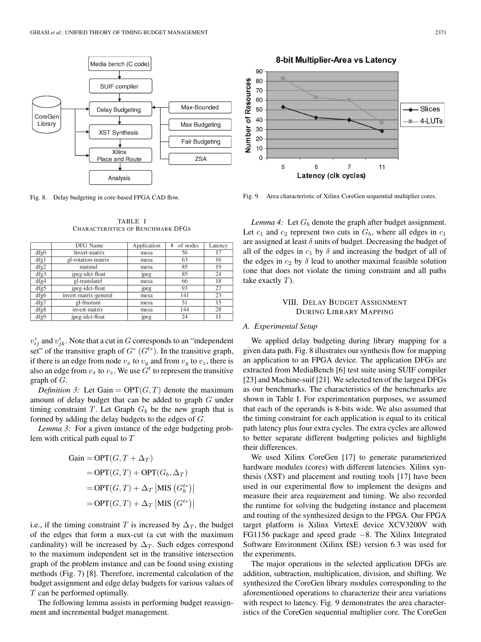

Fig. 8. Delay budgeting in core-based FPGA CAD flow.

|       | DFG Name              | Application | of nodes<br># | Latency |
|-------|-----------------------|-------------|---------------|---------|
| dfg() | Invert-matrix         | mesa        | 56            | 17      |
| dfg1  | gl-rotation-matrix    | mesa        | 63            | 16      |
| dfg2  | matmul                | mesa        | 85            | 19      |
| dfg3  | jpeg-idct-float       | jpeg        | 85            | 24      |
| dfg4  | gl-translatef         | mesa        | 66            | 18      |
| dfg5  | jpeg-idct-float       | jpeg        | 93            | 27      |
| dfg6  | invert-matrix-general | mesa        | 141           | 23      |
| dfg7  | gl-frustum            | mesa        | 51            | 15      |
| dfg8  | invert-matrix         | mesa        | 144           | 28      |
| dfg9  | jpeg-idct-float       | jpeg        | 24            |         |

TABLE I CHARACTERISTICS OF BENCHMARK DFGS

 $v_{ij}^*$  and  $v_{jk}^*$ . Note that a cut in  $G$  corresponds to an "independent set" of the transitive graph of  $G^*$  ( $G^{t*}$ ). In the transitive graph, if there is an edge from node  $v_x$  to  $v_y$  and from  $v_y$  to  $v_z$ , there is also an edge from  $v_x$  to  $v_z$ . We use  $G<sup>t</sup>$  to represent the transitive graph of  $G$ .

*Definition 3:* Let Gain =  $OPT(G, T)$  denote the maximum amount of delay budget that can be added to graph G under timing constraint T. Let Graph  $G_b$  be the new graph that is formed by adding the delay budgets to the edges of G.

*Lemma 3:* For a given instance of the edge budgeting problem with critical path equal to T

Gain = OPT
$$
(G, T + \Delta_T)
$$
  
= OPT $(G, T) + OPT(G_b, \Delta_T)$   
= OPT $(G, T) + \Delta_T |MIS(G_b^{t*})|$   
= OPT $(G, T) + \Delta_T |MIS(G^{t*})|$ 

i.e., if the timing constraint T is increased by  $\Delta_T$ , the budget of the edges that form a max-cut (a cut with the maximum cardinality) will be increased by  $\Delta_T$ . Such edges correspond to the maximum independent set in the transitive intersection graph of the problem instance and can be found using existing methods (Fig. 7) [8]. Therefore, incremental calculation of the budget assignment and edge delay budgets for various values of T can be performed optimally.

The following lemma assists in performing budget reassignment and incremental budget management.



8-bit Multiplier-Area vs Latency

Fig. 9. Area characteristic of Xilinx CoreGen sequential multiplier cores.

*Lemma 4:* Let  $G_b$  denote the graph after budget assignment. Let  $c_1$  and  $c_2$  represent two cuts in  $G_b$ , where all edges in  $c_1$ are assigned at least  $\delta$  units of budget. Decreasing the budget of all of the edges in  $c_1$  by  $\delta$  and increasing the budget of all of the edges in  $c_2$  by  $\delta$  lead to another maximal feasible solution (one that does not violate the timing constraint and all paths take exactly  $T$ ).

# VIII. DELAY BUDGET ASSIGNMENT DURING LIBRARY MAPPING

#### *A. Experimental Setup*

We applied delay budgeting during library mapping for a given data path. Fig. 8 illustrates our synthesis flow for mapping an application to an FPGA device. The application DFGs are extracted from MediaBench [6] test suite using SUIF compiler [23] and Machine-suif [21]. We selected ten of the largest DFGs as our benchmarks. The characteristics of the benchmarks are shown in Table I. For experimentation purposes, we assumed that each of the operands is 8-bits wide. We also assumed that the timing constraint for each application is equal to its critical path latency plus four extra cycles. The extra cycles are allowed to better separate different budgeting policies and highlight their differences.

We used Xilinx CoreGen [17] to generate parameterized hardware modules (cores) with different latencies. Xilinx synthesis (XST) and placement and routing tools [17] have been used in our experimental flow to implement the designs and measure their area requirement and timing. We also recorded the runtime for solving the budgeting instance and placement and routing of the synthesized design to the FPGA. Our FPGA target platform is Xilinx VirtexE device XCV3200V with FG1156 package and speed grade −8. The Xilinx Integrated Software Environment (Xilinx ISE) version 6.3 was used for the experiments.

The major operations in the selected application DFGs are addition, subtraction, multiplication, division, and shifting. We synthesized the CoreGen library modules corresponding to the aforementioned operations to characterize their area variations with respect to latency. Fig. 9 demonstrates the area characteristics of the CoreGen sequential multiplier core. The CoreGen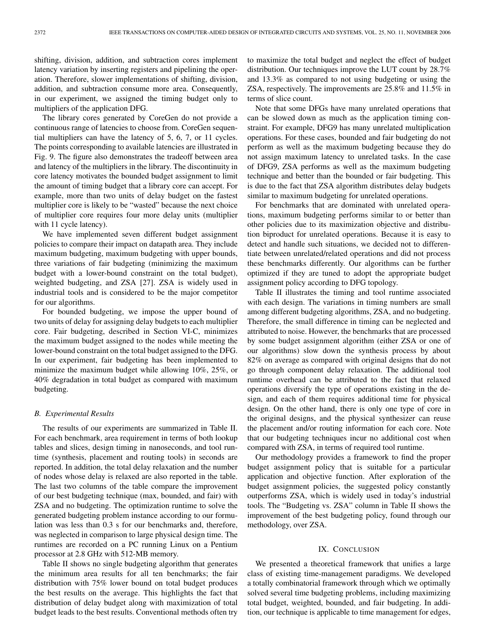shifting, division, addition, and subtraction cores implement latency variation by inserting registers and pipelining the operation. Therefore, slower implementations of shifting, division, addition, and subtraction consume more area. Consequently, in our experiment, we assigned the timing budget only to multipliers of the application DFG.

The library cores generated by CoreGen do not provide a continuous range of latencies to choose from. CoreGen sequential multipliers can have the latency of 5, 6, 7, or 11 cycles. The points corresponding to available latencies are illustrated in Fig. 9. The figure also demonstrates the tradeoff between area and latency of the multipliers in the library. The discontinuity in core latency motivates the bounded budget assignment to limit the amount of timing budget that a library core can accept. For example, more than two units of delay budget on the fastest multiplier core is likely to be "wasted" because the next choice of multiplier core requires four more delay units (multiplier with 11 cycle latency).

We have implemented seven different budget assignment policies to compare their impact on datapath area. They include maximum budgeting, maximum budgeting with upper bounds, three variations of fair budgeting (minimizing the maximum budget with a lower-bound constraint on the total budget), weighted budgeting, and ZSA [27]. ZSA is widely used in industrial tools and is considered to be the major competitor for our algorithms.

For bounded budgeting, we impose the upper bound of two units of delay for assigning delay budgets to each multiplier core. Fair budgeting, described in Section VI-C, minimizes the maximum budget assigned to the nodes while meeting the lower-bound constraint on the total budget assigned to the DFG. In our experiment, fair budgeting has been implemented to minimize the maximum budget while allowing 10%, 25%, or 40% degradation in total budget as compared with maximum budgeting.

# *B. Experimental Results*

The results of our experiments are summarized in Table II. For each benchmark, area requirement in terms of both lookup tables and slices, design timing in nanoseconds, and tool runtime (synthesis, placement and routing tools) in seconds are reported. In addition, the total delay relaxation and the number of nodes whose delay is relaxed are also reported in the table. The last two columns of the table compare the improvement of our best budgeting technique (max, bounded, and fair) with ZSA and no budgeting. The optimization runtime to solve the generated budgeting problem instance according to our formulation was less than 0.3 s for our benchmarks and, therefore, was neglected in comparison to large physical design time. The runtimes are recorded on a PC running Linux on a Pentium processor at 2.8 GHz with 512-MB memory.

Table II shows no single budgeting algorithm that generates the minimum area results for all ten benchmarks; the fair distribution with 75% lower bound on total budget produces the best results on the average. This highlights the fact that distribution of delay budget along with maximization of total budget leads to the best results. Conventional methods often try to maximize the total budget and neglect the effect of budget distribution. Our techniques improve the LUT count by 28.7% and 13.3% as compared to not using budgeting or using the ZSA, respectively. The improvements are 25.8% and 11.5% in terms of slice count.

Note that some DFGs have many unrelated operations that can be slowed down as much as the application timing constraint. For example, DFG9 has many unrelated multiplication operations. For these cases, bounded and fair budgeting do not perform as well as the maximum budgeting because they do not assign maximum latency to unrelated tasks. In the case of DFG9, ZSA performs as well as the maximum budgeting technique and better than the bounded or fair budgeting. This is due to the fact that ZSA algorithm distributes delay budgets similar to maximum budgeting for unrelated operations.

For benchmarks that are dominated with unrelated operations, maximum budgeting performs similar to or better than other policies due to its maximization objective and distribution biproduct for unrelated operations. Because it is easy to detect and handle such situations, we decided not to differentiate between unrelated/related operations and did not process these benchmarks differently. Our algorithms can be further optimized if they are tuned to adopt the appropriate budget assignment policy according to DFG topology.

Table II illustrates the timing and tool runtime associated with each design. The variations in timing numbers are small among different budgeting algorithms, ZSA, and no budgeting. Therefore, the small difference in timing can be neglected and attributed to noise. However, the benchmarks that are processed by some budget assignment algorithm (either ZSA or one of our algorithms) slow down the synthesis process by about 82% on average as compared with original designs that do not go through component delay relaxation. The additional tool runtime overhead can be attributed to the fact that relaxed operations diversify the type of operations existing in the design, and each of them requires additional time for physical design. On the other hand, there is only one type of core in the original designs, and the physical synthesizer can reuse the placement and/or routing information for each core. Note that our budgeting techniques incur no additional cost when compared with ZSA, in terms of required tool runtime.

Our methodology provides a framework to find the proper budget assignment policy that is suitable for a particular application and objective function. After exploration of the budget assignment policies, the suggested policy constantly outperforms ZSA, which is widely used in today's industrial tools. The "Budgeting vs. ZSA" column in Table II shows the improvement of the best budgeting policy, found through our methodology, over ZSA.

## IX. CONCLUSION

We presented a theoretical framework that unifies a large class of existing time-management paradigms. We developed a totally combinatorial framework through which we optimally solved several time budgeting problems, including maximizing total budget, weighted, bounded, and fair budgeting. In addition, our technique is applicable to time management for edges,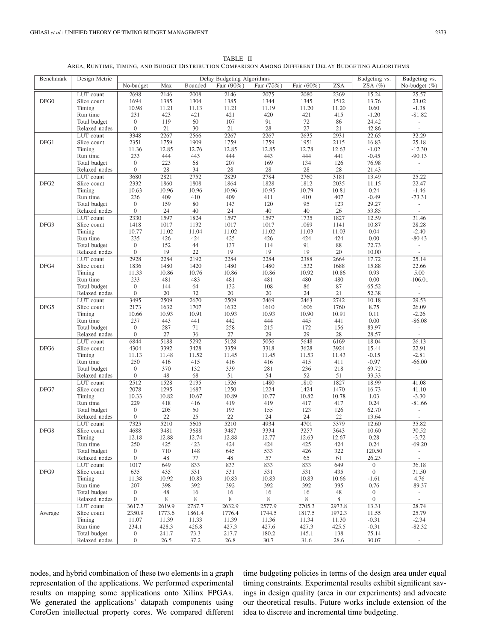TABLE II AREA, RUNTIME, TIMING, AND BUDGET DISTRIBUTION COMPARISON AMONG DIFFERENT DELAY BUDGETING ALGORITHMS

| Benchmark        | Design Metric | Delay Budgeting Algorithms |        |         |             |            |            |            | Budgeting vs.    | Budgeting vs.            |
|------------------|---------------|----------------------------|--------|---------|-------------|------------|------------|------------|------------------|--------------------------|
|                  |               | No-budget                  | Max    | Bounded | Fair (90%)  | Fair (75%) | Fair (60%) | <b>ZSA</b> | $ZSA(\%)$        | No-budget $(\%)$         |
|                  | LUT count     | 2698                       | 2146   | 2008    | 2146        | 2075       | 2080       | 2369       | 15.24            | 25.57                    |
|                  |               |                            |        |         |             |            |            |            |                  |                          |
| DFG0             | Slice count   | 1694                       | 1385   | 1304    | 1385        | 1344       | 1345       | 1512       | 13.76            | 23.02                    |
|                  | Timing        | 10.98                      | 11.21  | 11.13   | 11.21       | 11.19      | 11.20      | 11.20      | 0.60             | $-1.38$                  |
|                  | Run time      | 231                        | 423    | 421     | 421         | 420        | 421        | 415        | $-1.20$          | $-81.82$                 |
|                  | Total budget  | $\theta$                   | 119    | 60      | 107         | 91         | 72         | 86         | 24.42            | $\blacksquare$           |
|                  | Relaxed nodes | $\mathbf{0}$               | 21     | 30      | 21          | 28         | 27         | 21         | 42.86            |                          |
|                  | LUT count     | 3348                       | 2267   | 2566    | 2267        | 2267       | 2635       | 2931       | 22.65            | 32.29                    |
| DFG1             | Slice count   | 2351                       | 1759   | 1909    | 1759        | 1759       | 1951       | 2115       | 16.83            | 25.18                    |
|                  | Timing        | 11.36                      | 12.85  | 12.76   | 12.85       | 12.85      | 12.78      | 12.63      | $-1.02$          | $-12.30$                 |
|                  | Run time      | 233                        | 444    | 443     | 444         | 443        | 444        | 441        | $-0.45$          | $-90.13$                 |
|                  | Total budget  | $\mathbf{0}$               | 223    | 68      | 207         | 169        | 134        | 126        | 76.98            |                          |
|                  |               |                            |        |         |             |            |            |            |                  | ÷,                       |
|                  | Relaxed nodes | $\mathbf{0}$               | $28\,$ | 34      | 28          | 28         | 28         | 28         | 21.43            | ä,                       |
|                  | LUT count     | 3680                       | 2821   | 2752    | 2829        | 2784       | 2760       | 3181       | 13.49            | 25.22                    |
| DFG <sub>2</sub> | Slice count   | 2332                       | 1860   | 1808    | 1864        | 1828       | 1812       | 2035       | 11.15            | 22.47                    |
|                  | Timing        | 10.63                      | 10.96  | 10.96   | 10.96       | 10.95      | 10.79      | 10.81      | 0.24             | $-1.46$                  |
|                  | Run time      | 236                        | 409    | 410     | 409         | 411        | 410        | 407        | $-0.49$          | $-73.31$                 |
|                  | Total budget  | $\theta$                   | 159    | 80      | 143         | 120        | 95         | 123        | 29.27            | ÷,                       |
|                  | Relaxed nodes | $\boldsymbol{0}$           | 24     | 40      | 24          | 40         | 40         | 26         | 53.85            |                          |
|                  | LUT count     | 2330                       | 1597   | 1824    | 1597        | 1597       | 1735       | 1827       | 12.59            | 31.46                    |
| DFG3             | Slice count   | 1418                       | 1017   | 1132    | 1017        | 1017       | 1089       | 1141       | 10.87            | 28.28                    |
|                  |               |                            |        |         | 11.02       | 11.02      |            |            |                  |                          |
|                  | Timing        | 10.77                      | 11.02  | 11.04   |             |            | 11.03      | 11.03      | 0.04             | $-2.40$                  |
|                  | Run time      | 235                        | 426    | 424     | 425         | 426        | 424        | 424        | $0.00\,$         | $-80.43$                 |
|                  | Total budget  | $\theta$                   | 152    | 44      | 137         | 114        | 91         | 88         | 72.73            | $\blacksquare$           |
|                  | Relaxed nodes | $\overline{0}$             | 19     | 22      | 19          | 19         | 19         | 20         | 10.00            | ä,                       |
|                  | LUT count     | 2928                       | 2284   | 2192    | 2284        | 2284       | 2388       | 2664       | 17.72            | 25.14                    |
| DFG4             | Slice count   | 1836                       | 1480   | 1420    | 1480        | 1480       | 1532       | 1688       | 15.88            | 22.66                    |
|                  | Timing        | 11.33                      | 10.86  | 10.76   | 10.86       | 10.86      | 10.92      | 10.86      | 0.93             | 5.00                     |
|                  | Run time      | 233                        | 481    | 483     | 481         | 481        | 480        | 480        | 0.00             | $-106.01$                |
|                  | Total budget  | $\mathbf{0}$               | 144    | 64      | 132         | 108        | 86         | 87         | 65.52            | ä,                       |
|                  | Relaxed nodes | $\mathbf{0}$               | 20     | 32      | 20          | 20         | 24         | 21         | 52.38            |                          |
|                  | LUT count     | 3495                       | 2509   | 2670    | 2509        | 2469       | 2463       | 2742       | 10.18            |                          |
|                  |               |                            |        |         |             |            |            |            |                  | 29.53                    |
| DFG5             | Slice count   | 2173                       | 1632   | 1707    | 1632        | 1610       | 1606       | 1760       | 8.75             | 26.09                    |
|                  | Timing        | 10.66                      | 10.93  | 10.91   | 10.93       | 10.93      | 10.90      | 10.91      | 0.11             | $-2.26$                  |
|                  | Run time      | 237                        | 443    | 441     | 442         | 444        | 445        | 441        | 0.00             | $-86.08$                 |
|                  | Total budget  | $\mathbf{0}$               | 287    | 71      | 258         | 215        | 172        | 156        | 83.97            | ÷,                       |
|                  | Relaxed nodes | $\boldsymbol{0}$           | 27     | 36      | 27          | 29         | 29         | 28         | 28.57            | $\overline{\phantom{a}}$ |
|                  | LUT count     | 6844                       | 5188   | 5292    | 5128        | 5056       | 5648       | 6169       | 18.04            | 26.13                    |
| DFG6             | Slice count   | 4304                       | 3392   | 3428    | 3359        | 3318       | 3628       | 3924       | 15.44            | 22.91                    |
|                  | Timing        | 11.13                      | 11.48  | 11.52   | 11.45       | 11.45      | 11.53      | 11.43      | $-0.15$          | $-2.81$                  |
|                  | Run time      | 250                        | 416    | 415     | 416         | 416        | 415        | 411        | $-0.97$          | $-66.00$                 |
|                  | Total budget  | $\theta$                   | 370    | 132     | 339         | 281        | 236        | 218        | 69.72            | $\overline{a}$           |
|                  | Relaxed nodes | $\overline{0}$             | 48     | 68      | 51          | 54         | 52         | 51         | 33.33            |                          |
|                  |               | 2512                       | 1528   | 2135    | 1526        | 1480       | 1810       | 1827       | 18.99            |                          |
|                  | LUT count     |                            |        |         |             |            |            |            |                  | 41.08                    |
| DFG7             | Slice count   | 2078                       | 1295   | 1687    | 1250        | 1224       | 1424       | 1470       | 16.73            | 41.10                    |
|                  | Timing        | 10.33                      | 10.82  | 10.67   | 10.89       | 10.77      | 10.82      | 10.78      | 1.03             | $-3.30$                  |
|                  | Run time      | 229                        | 418    | 416     | 419         | 419        | 417        | 417        | 0.24             | $-81.66$                 |
|                  | Total budget  | $\mathbf{0}$               | 205    | 50      | 193         | 155        | 123        | 126        | 62.70            | $\overline{\phantom{a}}$ |
|                  | Relaxed nodes | $\overline{0}$             | 22     | 25      | 22          | 24         | 24         | 22         | 13.64            | $\overline{\phantom{a}}$ |
|                  | LUT count     | 7325                       | 5210   | 5605    | 5210        | 4934       | 4701       | 5379       | 12.60            | 35.82                    |
| DFG8             | Slice count   | 4688                       | 3481   | 3688    | 3487        | 3334       | 3257       | 3643       | 10.60            | 30.52                    |
|                  | Timing        | 12.18                      | 12.88  | 12.74   | 12.88       | 12.77      | 12.63      | 12.67      | 0.28             | $-3.72$                  |
|                  | Run time      | 250                        | 425    | 423     | 424         | 424        | 425        | 424        | 0.24             | $-69.20$                 |
|                  | Total budget  | $\theta$                   | 710    | 148     | 645         | 533        | 426        | 322        | 120.50           |                          |
|                  | Relaxed nodes | $\boldsymbol{0}$           | 48     | 77      | 48          | 57         | 65         | 61         | 26.23            | $\sim$                   |
|                  | LUT count     | 1017                       | 649    | 833     | 833         | 833        | 833        | 649        | $\boldsymbol{0}$ | 36.18                    |
|                  |               |                            |        |         |             |            |            |            |                  |                          |
| DFG9             | Slice count   | 635                        | 435    | 531     | 531         | 531        | 531        | 435        | $\boldsymbol{0}$ | 31.50                    |
|                  | Timing        | 11.38                      | 10.92  | 10.83   | 10.83       | 10.83      | 10.83      | 10.66      | $-1.61$          | 4.76                     |
|                  | Run time      | 207                        | 398    | 392     | 392         | 392        | 392        | 395        | 0.76             | $-89.37$                 |
|                  | Total budget  | $\mathbf{0}$               | 48     | 16      | 16          | 16         | 16         | 48         | $\boldsymbol{0}$ | $\bar{\phantom{a}}$      |
|                  | Relaxed nodes | $\boldsymbol{0}$           | 8      | 8       | $\,$ 8 $\,$ | 8          | 8          | 8          | $\overline{0}$   | $\overline{\phantom{a}}$ |
|                  | LUT count     | 3617.7                     | 2619.9 | 2787.7  | 2632.9      | 2577.9     | 2705.3     | 2973.8     | 13.31            | 28.74                    |
| Average          | Slice count   | 2350.9                     | 1773.6 | 1861.4  | 1776.4      | 1744.5     | 1817.5     | 1972.3     | 11.55            | 25.79                    |
|                  | Timing        | 11.07                      | 11.39  | 11.33   | 11.39       | 11.36      | 11.34      | 11.30      | $-0.31$          | $-2.34$                  |
|                  | Run time      | 234.1                      | 428.3  | 426.8   | 427.3       | 427.6      | 427.3      | 425.5      | $-0.31$          | $-82.32$                 |
|                  | Total budget  | $\boldsymbol{0}$           | 241.7  | 73.3    | 217.7       | 180.2      | 145.1      | 138        | 75.14            | $\overline{\phantom{a}}$ |
|                  | Relaxed nodes | $\theta$                   | 26.5   | 37.2    | 26.8        | 30.7       | 31.6       | 28.6       | 30.07            |                          |

nodes, and hybrid combination of these two elements in a graph representation of the applications. We performed experimental results on mapping some applications onto Xilinx FPGAs. We generated the applications' datapath components using CoreGen intellectual property cores. We compared different

time budgeting policies in terms of the design area under equal timing constraints. Experimental results exhibit significant savings in design quality (area in our experiments) and advocate our theoretical results. Future works include extension of the idea to discrete and incremental time budgeting.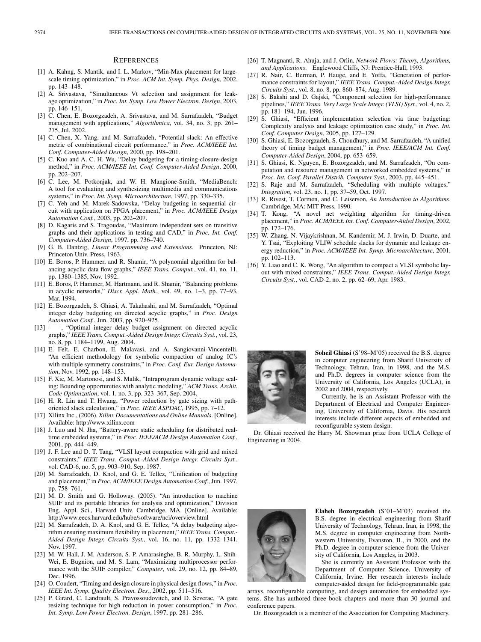#### **REFERENCES**

- [1] A. Kahng, S. Mantik, and I. L. Markov, "Min-Max placement for largescale timing optimization," in *Proc. ACM Int. Symp. Phys. Design*, 2002, pp. 143–148.
- [2] A. Srivastava, "Simultaneous Vt selection and assignment for leakage optimization," in *Proc. Int. Symp. Low Power Electron. Design*, 2003, pp. 146–151.
- [3] C. Chen, E. Bozorgzadeh, A. Srivastava, and M. Sarrafzadeh, "Budget management with applications," *Algorithmica*, vol. 34, no. 3, pp. 261– 275, Jul. 2002.
- [4] C. Chen, X. Yang, and M. Sarrafzadeh, "Potential slack: An effective metric of combinational circuit performance," in *Proc. ACM/IEEE Int. Conf. Computer-Aided Design*, 2000, pp. 198–201.
- [5] C. Kuo and A. C. H. Wu, "Delay budgeting for a timing-closure-design method," in *Proc. ACM/IEEE Int. Conf. Computer-Aided Design*, 2000, pp. 202–207.
- [6] C. Lee, M. Potkonjak, and W. H. Mangione-Smith, "MediaBench: A tool for evaluating and synthesizing multimedia and communications systems," in *Proc. Int. Symp. Microarchitecture*, 1997, pp. 330–335.
- [7] C. Yeh and M. Marek-Sadowska, "Delay budgeting in sequential circuit with application on FPGA placement," in *Proc. ACM/IEEE Design Automation Conf.*, 2003, pp. 202–207.
- [8] D. Kagaris and S. Tragoudas, "Maximum independent sets on transitive graphs and their applications in testing and CAD," in *Proc. Int. Conf. Computer-Aided Design*, 1997, pp. 736–740.
- [9] G. B. Dantzig, *Linear Programming and Extensions*. Princeton, NJ: Princeton Univ. Press, 1963.
- [10] E. Boros, P. Hammer, and R. Shamir, "A polynomial algorithm for balancing acyclic data flow graphs," *IEEE Trans. Comput.*, vol. 41, no. 11, pp. 1380–1385, Nov. 1992.
- [11] E. Boros, P. Hammer, M. Hartmann, and R. Shamir, "Balancing problems in acyclic networks," *Discr. Appl. Math.*, vol. 49, no. 1–3, pp. 77–93, Mar. 1994.
- [12] E. Bozorgzadeh, S. Ghiasi, A. Takahashi, and M. Sarrafzadeh, "Optimal integer delay budgeting on directed acyclic graphs," in *Proc. Design Automation Conf.*, Jun. 2003, pp. 920–925.
- [13] ——, "Optimal integer delay budget assignment on directed acyclic graphs," *IEEE Trans. Comput.-Aided Design Integr. Circuits Syst.*, vol. 23, no. 8, pp. 1184–1199, Aug. 2004.
- [14] E. Felt, E. Charbon, E. Malavasi, and A. Sangiovanni-Vincentelli, "An efficient methodology for symbolic compaction of analog IC's with multiple symmetry constraints," in *Proc. Conf. Eur. Design Automation*, Nov. 1992, pp. 148–153.
- [15] F. Xie, M. Martonosi, and S. Malik, "Intraprogram dynamic voltage scaling: Bounding opportunities with analytic modeling," *ACM Trans. Archit. Code Optimization*, vol. 1, no. 3, pp. 323–367, Sep. 2004.
- [16] H. R. Lin and T. Hwang, "Power reduction by gate sizing with pathoriented slack calculation," in *Proc. IEEE ASPDAC*, 1995, pp. 7–12.
- [17] Xilinx Inc., (2006). *Xilinx Documentations and Online Manuals*. [Online]. Available: http://www.xilinx.com
- [18] J. Luo and N. Jha, "Battery-aware static scheduling for distributed realtime embedded systems," in *Proc. IEEE/ACM Design Automation Conf.*, 2001, pp. 444–449.
- [19] J. F. Lee and D. T. Tang, "VLSI layout compaction with grid and mixed constraints," *IEEE Trans. Comput.-Aided Design Integr. Circuits Syst.*, vol. CAD-6, no. 5, pp. 903–910, Sep. 1987.
- [20] M. Sarrafzadeh, D. Knol, and G. E. Tellez, "Unification of budgeting and placement," in *Proc. ACM/IEEE Design Automation Conf.*, Jun. 1997, pp. 758–761.
- [21] M. D. Smith and G. Holloway. (2005). "An introduction to machine SUIF and its portable libraries for analysis and optimization," Division Eng. Appl. Sci., Harvard Univ. Cambridge, MA. [Online]. Available: http://www.eecs.harvard.edu/hube/software/nci/overview.html
- [22] M. Sarrafzadeh, D. A. Knol, and G. E. Tellez, "A delay budgeting algorithm ensuring maximum flexibility in placement," *IEEE Trans. Comput.- Aided Design Integr. Circuits Syst.*, vol. 16, no. 11, pp. 1332–1341, Nov. 1997.
- [23] M. W. Hall, J. M. Anderson, S. P. Amarasinghe, B. R. Murphy, L. Shih-Wei, E. Bugnion, and M. S. Lam, "Maximizing multiprocessor performance with the SUIF compiler," *Computer*, vol. 29, no. 12, pp. 84–89, Dec. 1996.
- [24] O. Coudert, "Timing and design closure in physical design flows," in *Proc. IEEE Int. Symp. Quality Electron. Des.*, 2002, pp. 511–516.
- [25] P. Girard, C. Landrault, S. Pravossoudovitch, and D. Severac, "A gate resizing technique for high reduction in power consumption," in *Proc. Int. Symp. Low Power Electron. Design*, 1997, pp. 281–286.
- [26] T. Magnanti, R. Ahuja, and J. Orlin, *Network Flows: Theory, Algorithms, and Applications*. Englewood Cliffs, NJ: Prentice-Hall, 1993.
- [27] R. Nair, C. Berman, P. Hauge, and E. Yoffa, "Generation of performance constraints for layout," *IEEE Trans. Comput.-Aided Design Integr. Circuits Syst.*, vol. 8, no. 8, pp. 860–874, Aug. 1989.
- [28] S. Bakshi and D. Gajski, "Component selection for high-performance pipelines," *IEEE Trans. Very Large Scale Integr. (VLSI) Syst.*, vol. 4, no. 2, pp. 181–194, Jun. 1996.
- [29] S. Ghiasi, "Efficient implementation selection via time budgeting: Complexity analysis and leakage optimization case study," in *Proc. Int. Conf. Computer Design*, 2005, pp. 127–129.
- [30] S. Ghiasi, E. Bozorgzadeh, S. Choudhury, and M. Sarrafzadeh, "A unified theory of timing budget management," in *Proc. IEEE/ACM Int. Conf. Computer-Aided Design*, 2004, pp. 653–659.
- [31] S. Ghiasi, K. Nguyen, E. Bozorgzadeh, and M. Sarrafzadeh, "On computation and resource management in networked embedded systems," in *Proc. Int. Conf. Parallel Distrib. Computer Syst.*, 2003, pp. 445–451.
- [32] S. Raje and M. Sarrafzadeh, "Scheduling with multiple voltages," *Integration*, vol. 23, no. 1, pp. 37–59, Oct. 1997.
- [33] R. Rivest, T. Cormen, and C. Leiserson, *An Introduction to Algorithms*. Cambridge, MA: MIT Press, 1990.
- [34] T. Kong, "A novel net weighting algorithm for timing-driven placement," in *Proc. ACM/IEEE Int. Conf. Computer-Aided Design*, 2002, pp. 172–176.
- [35] W. Zhang, N. Vijaykrishnan, M. Kandemir, M. J. Irwin, D. Duarte, and Y. Tsai, "Exploiting VLIW schedule slacks for dynamic and leakage energy reduction," in *Proc. ACM/IEEE Int. Symp. Microarchitecture*, 2001, pp. 102–113.
- [36] Y. Liao and C. K. Wong, "An algorithm to compact a VLSI symbolic layout with mixed constraints," *IEEE Trans. Comput.-Aided Design Integr. Circuits Syst.*, vol. CAD-2, no. 2, pp. 62–69, Apr. 1983.



**Soheil Ghiasi** (S'98–M'05) received the B.S. degree in computer engineering from Sharif University of Technology, Tehran, Iran, in 1998, and the M.S. and Ph.D. degrees in computer science from the University of California, Los Angeles (UCLA), in 2002 and 2004, respectively.

Currently, he is an Assistant Professor with the Department of Electrical and Computer Engineering, University of California, Davis. His research interests include different aspects of embedded and reconfigurable system design.

Dr. Ghiasi received the Harry M. Showman prize from UCLA College of Engineering in 2004.



**Elaheh Bozorgzadeh** (S'01–M'03) received the B.S. degree in electrical engineering from Sharif University of Technology, Tehran, Iran, in 1998, the M.S. degree in computer engineering from Northwestern University, Evanston, IL, in 2000, and the Ph.D. degree in computer science from the University of California, Los Angeles, in 2003.

She is currently an Assistant Professor with the Department of Computer Science, University of California, Irvine. Her research interests include computer-aided design for field-programmable gate

arrays, reconfigurable computing, and design automation for embedded systems. She has authored three book chapters and more than 30 journal and conference papers.

Dr. Bozorgzadeh is a member of the Association for Computing Machinery.